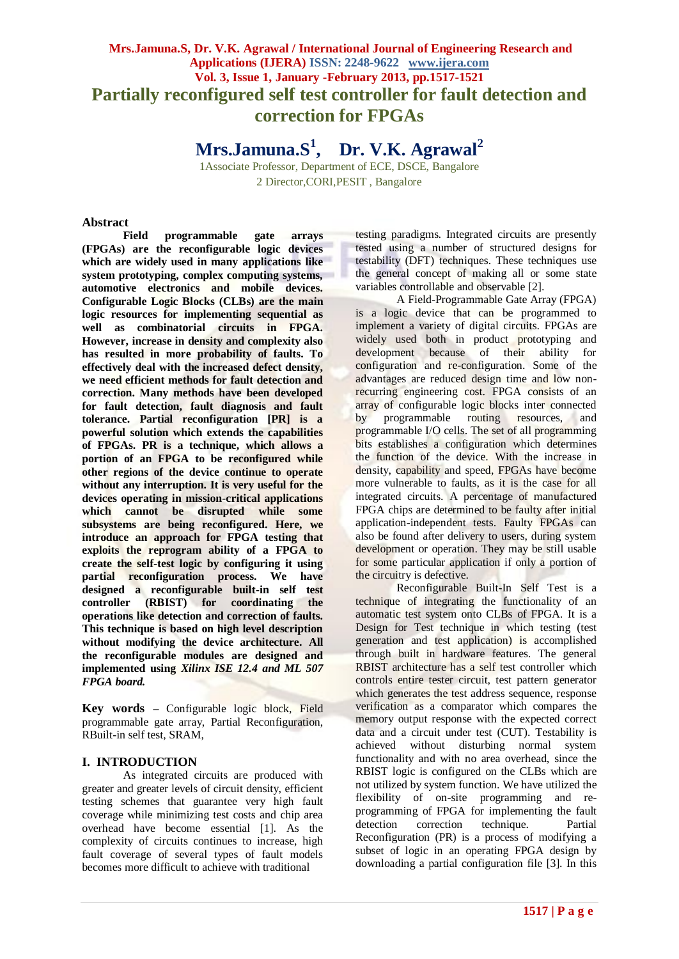# **Mrs.Jamuna.S, Dr. V.K. Agrawal / International Journal of Engineering Research and Applications (IJERA) ISSN: 2248-9622 www.ijera.com Vol. 3, Issue 1, January -February 2013, pp.1517-1521 Partially reconfigured self test controller for fault detection and correction for FPGAs**

**Mrs.Jamuna.S<sup>1</sup> , Dr. V.K. Agrawal<sup>2</sup>**

1Associate Professor, Department of ECE, DSCE, Bangalore 2 Director,CORI,PESIT , Bangalore

#### **Abstract**

**Field programmable gate arrays (FPGAs) are the reconfigurable logic devices which are widely used in many applications like system prototyping, complex computing systems, automotive electronics and mobile devices. Configurable Logic Blocks (CLBs) are the main logic resources for implementing sequential as well as combinatorial circuits in FPGA. However, increase in density and complexity also has resulted in more probability of faults. To effectively deal with the increased defect density, we need efficient methods for fault detection and correction. Many methods have been developed for fault detection, fault diagnosis and fault tolerance. Partial reconfiguration [PR] is a powerful solution which extends the capabilities of FPGAs. PR is a technique, which allows a portion of an FPGA to be reconfigured while other regions of the device continue to operate without any interruption. It is very useful for the devices operating in mission-critical applications which cannot be disrupted while some subsystems are being reconfigured. Here, we introduce an approach for FPGA testing that exploits the reprogram ability of a FPGA to create the self-test logic by configuring it using partial reconfiguration process. We have designed a reconfigurable built-in self test controller (RBIST) for coordinating the operations like detection and correction of faults. This technique is based on high level description without modifying the device architecture. All the reconfigurable modules are designed and implemented using** *Xilinx ISE 12.4 and ML 507 FPGA board.*

**Key words –** Configurable logic block, Field programmable gate array, Partial Reconfiguration, RBuilt-in self test, SRAM,

# **I. INTRODUCTION**

As integrated circuits are produced with greater and greater levels of circuit density, efficient testing schemes that guarantee very high fault coverage while minimizing test costs and chip area overhead have become essential [1]. As the complexity of circuits continues to increase, high fault coverage of several types of fault models becomes more difficult to achieve with traditional

testing paradigms. Integrated circuits are presently tested using a number of structured designs for testability (DFT) techniques. These techniques use the general concept of making all or some state variables controllable and observable [2].

A Field-Programmable Gate Array (FPGA) is a logic device that can be programmed to implement a variety of digital circuits. FPGAs are widely used both in product prototyping and development because of their ability for configuration and re-configuration. Some of the advantages are reduced design time and low nonrecurring engineering cost. FPGA consists of an array of configurable logic blocks inter connected by programmable routing resources, and programmable I/O cells. The set of all programming bits establishes a configuration which determines the function of the device. With the increase in density, capability and speed. FPGAs have become more vulnerable to faults, as it is the case for all integrated circuits. A percentage of manufactured FPGA chips are determined to be faulty after initial application-independent tests. Faulty FPGAs can also be found after delivery to users, during system development or operation. They may be still usable for some particular application if only a portion of the circuitry is defective.

Reconfigurable Built-In Self Test is a technique of integrating the functionality of an automatic test system onto CLBs of FPGA. It is a Design for Test technique in which testing (test generation and test application) is accomplished through built in hardware features. The general RBIST architecture has a self test controller which controls entire tester circuit, test pattern generator which generates the test address sequence, response verification as a comparator which compares the memory output response with the expected correct data and a circuit under test (CUT). Testability is achieved without disturbing normal system functionality and with no area overhead, since the RBIST logic is configured on the CLBs which are not utilized by system function. We have utilized the flexibility of on-site programming and reprogramming of FPGA for implementing the fault detection correction technique. Partial Reconfiguration (PR) is a process of modifying a subset of logic in an operating FPGA design by downloading a partial configuration file [3]. In this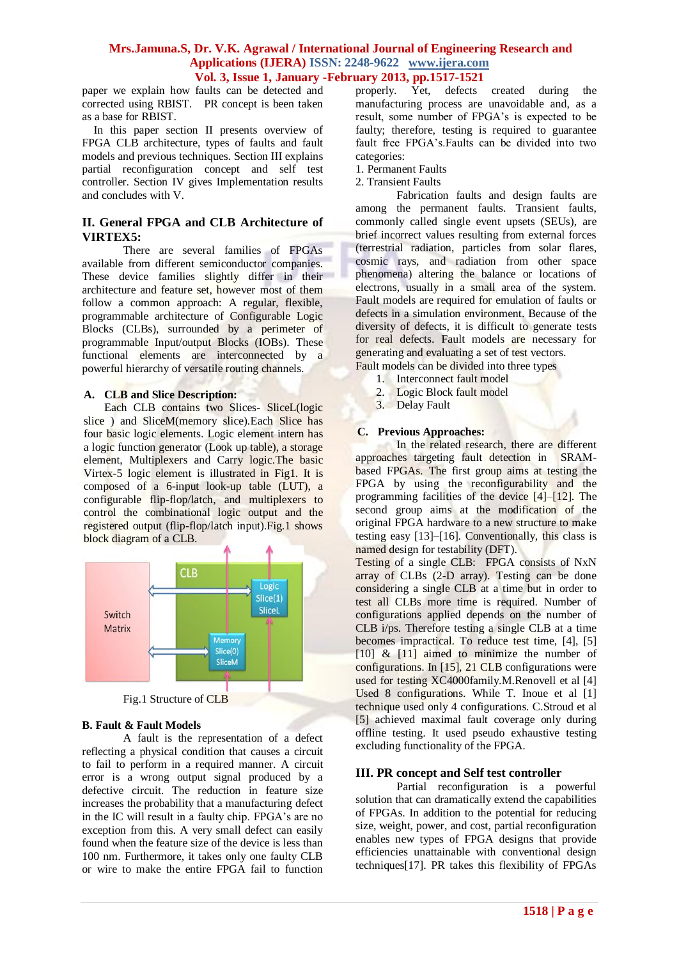paper we explain how faults can be detected and corrected using RBIST. PR concept is been taken as a base for RBIST.

 In this paper section II presents overview of FPGA CLB architecture, types of faults and fault models and previous techniques. Section III explains partial reconfiguration concept and self test controller. Section IV gives Implementation results and concludes with V.

## **II. General FPGA and CLB Architecture of VIRTEX5:**

There are several families of FPGAs available from different semiconductor companies. These device families slightly differ in their architecture and feature set, however most of them follow a common approach: A regular, flexible, programmable architecture of Configurable Logic Blocks (CLBs), surrounded by a perimeter of programmable Input/output Blocks (IOBs). These functional elements are interconnected by a powerful hierarchy of versatile routing channels.

## **A. CLB and Slice Description:**

Each CLB contains two Slices- SliceL(logic slice ) and SliceM(memory slice).Each Slice has four basic logic elements. Logic element intern has a logic function generator (Look up table), a storage element, Multiplexers and Carry logic.The basic Virtex-5 logic element is illustrated in Fig1. It is composed of a 6-input look-up table (LUT), a configurable flip-flop/latch, and multiplexers to control the combinational logic output and the registered output (flip-flop/latch input).Fig.1 shows block diagram of a CLB.





# **B. Fault & Fault Models**

A fault is the representation of a defect reflecting a physical condition that causes a circuit to fail to perform in a required manner. A circuit error is a wrong output signal produced by a defective circuit. The reduction in feature size increases the probability that a manufacturing defect in the IC will result in a faulty chip. FPGA's are no exception from this. A very small defect can easily found when the feature size of the device is less than 100 nm. Furthermore, it takes only one faulty CLB or wire to make the entire FPGA fail to function

properly. Yet, defects created during the manufacturing process are unavoidable and, as a result, some number of FPGA's is expected to be faulty; therefore, testing is required to guarantee fault free FPGA's.Faults can be divided into two categories:

- 1. Permanent Faults
- 2. Transient Faults

Fabrication faults and design faults are among the permanent faults. Transient faults, commonly called single event upsets (SEUs), are brief incorrect values resulting from external forces (terrestrial radiation, particles from solar flares, cosmic rays, and radiation from other space phenomena) altering the balance or locations of electrons, usually in a small area of the system. Fault models are required for emulation of faults or defects in a simulation environment. Because of the diversity of defects, it is difficult to generate tests for real defects. Fault models are necessary for generating and evaluating a set of test vectors. Fault models can be divided into three types

- 
- 1. Interconnect fault model
- 2. Logic Block fault model
- 3. Delay Fault

#### **C. Previous Approaches:**

In the related research, there are different approaches targeting fault detection in SRAMbased FPGAs. The first group aims at testing the FPGA by using the reconfigurability and the programming facilities of the device [4]–[12]. The second group aims at the modification of the original FPGA hardware to a new structure to make testing easy [13]–[16]. Conventionally, this class is named design for testability (DFT).

Testing of a single CLB: FPGA consists of NxN array of CLBs (2-D array). Testing can be done considering a single CLB at a time but in order to test all CLBs more time is required. Number of configurations applied depends on the number of CLB i/ps. Therefore testing a single CLB at a time becomes impractical. To reduce test time, [4], [5] [10] & [11] aimed to minimize the number of configurations. In [15], 21 CLB configurations were used for testing XC4000family.M.Renovell et al [4] Used 8 configurations. While T. Inoue et al [1] technique used only 4 configurations. C.Stroud et al [5] achieved maximal fault coverage only during offline testing. It used pseudo exhaustive testing excluding functionality of the FPGA.

#### **III. PR concept and Self test controller**

Partial reconfiguration is a powerful solution that can dramatically extend the capabilities of FPGAs. In addition to the potential for reducing size, weight, power, and cost, partial reconfiguration enables new types of FPGA designs that provide efficiencies unattainable with conventional design techniques[17]. PR takes this flexibility of FPGAs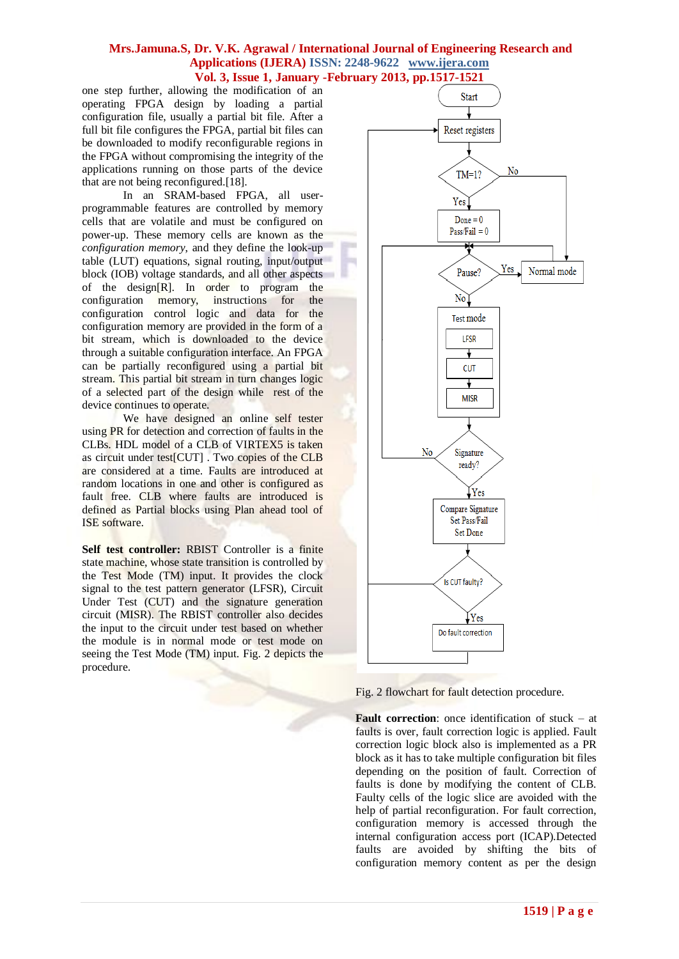one step further, allowing the modification of an operating FPGA design by loading a partial configuration file, usually a partial bit file. After a full bit file configures the FPGA, partial bit files can be downloaded to modify reconfigurable regions in the FPGA without compromising the integrity of the applications running on those parts of the device that are not being reconfigured.[18].

In an SRAM-based FPGA, all userprogrammable features are controlled by memory cells that are volatile and must be configured on power-up. These memory cells are known as the *configuration memory*, and they define the look-up table (LUT) equations, signal routing, input/output block (IOB) voltage standards, and all other aspects of the design[R]. In order to program the configuration memory, instructions for the configuration control logic and data for the configuration memory are provided in the form of a bit stream, which is downloaded to the device through a suitable configuration interface. An FPGA can be partially reconfigured using a partial bit stream. This partial bit stream in turn changes logic of a selected part of the design while rest of the device continues to operate.

We have designed an online self tester using PR for detection and correction of faults in the CLBs. HDL model of a CLB of VIRTEX5 is taken as circuit under test[CUT] . Two copies of the CLB are considered at a time. Faults are introduced at random locations in one and other is configured as fault free. CLB where faults are introduced is defined as Partial blocks using Plan ahead tool of ISE software.

**Self test controller:** RBIST Controller is a finite state machine, whose state transition is controlled by the Test Mode (TM) input. It provides the clock signal to the test pattern generator (LFSR), Circuit Under Test (CUT) and the signature generation circuit (MISR). The RBIST controller also decides the input to the circuit under test based on whether the module is in normal mode or test mode on seeing the Test Mode (TM) input. Fig. 2 depicts the procedure.



Fig. 2 flowchart for fault detection procedure.

**Fault correction**: once identification of stuck – at faults is over, fault correction logic is applied. Fault correction logic block also is implemented as a PR block as it has to take multiple configuration bit files depending on the position of fault. Correction of faults is done by modifying the content of CLB. Faulty cells of the logic slice are avoided with the help of partial reconfiguration. For fault correction, configuration memory is accessed through the internal configuration access port (ICAP).Detected faults are avoided by shifting the bits of configuration memory content as per the design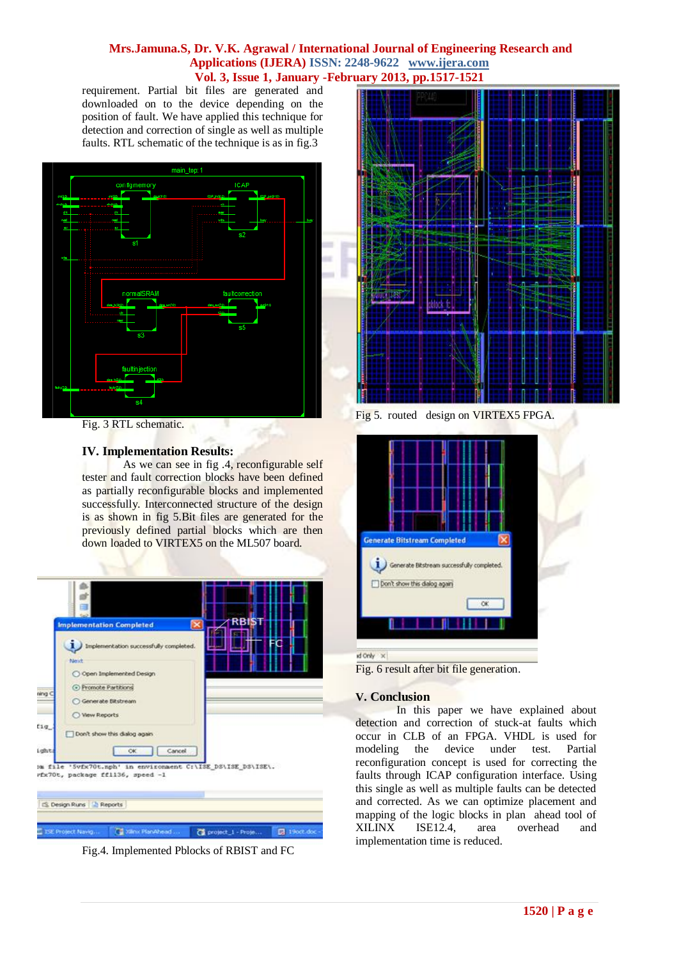requirement. Partial bit files are generated and downloaded on to the device depending on the position of fault. We have applied this technique for detection and correction of single as well as multiple faults. RTL schematic of the technique is as in fig.3



Fig. 3 RTL schematic.

# **IV. Implementation Results:**

As we can see in fig .4, reconfigurable self tester and fault correction blocks have been defined as partially reconfigurable blocks and implemented successfully. Interconnected structure of the design is as shown in fig 5.Bit files are generated for the previously defined partial blocks which are then down loaded to VIRTEX5 on the ML507 board.



Fig.4. Implemented Pblocks of RBIST and FC



Fig 5. routed design on VIRTEX5 FPGA.



Fig. 6 result after bit file generation.

#### **V. Conclusion**

In this paper we have explained about detection and correction of stuck-at faults which occur in CLB of an FPGA. VHDL is used for modeling the device under test. Partial reconfiguration concept is used for correcting the faults through ICAP configuration interface. Using this single as well as multiple faults can be detected and corrected. As we can optimize placement and mapping of the logic blocks in plan ahead tool of XILINX ISE12.4, area overhead and implementation time is reduced.